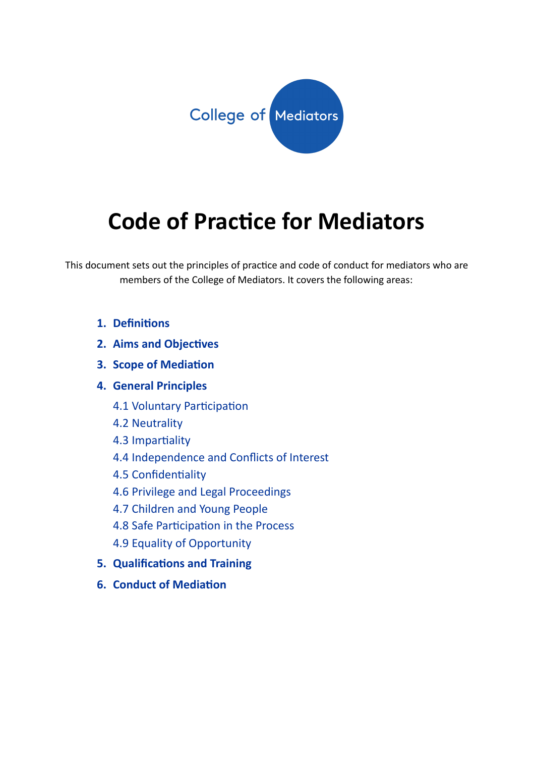

# **Code of Pracce for Mediators**

This document sets out the principles of practice and code of conduct for mediators who are members of the College of Mediators. It covers the following areas:

- 1. **Definitions**
- **2. Aims and Objectives**
- **3. Scope of Mediation**
- **4. General Principles**
	- 4.1 Voluntary Participation
	- 4.2 Neutrality
	- 4.3 Impartiality
	- 4.4 Independence and Conflicts of Interest
	- 4.5 Confidentiality
	- 4.6 Privilege and Legal Proceedings
	- 4.7 Children and Young People
	- 4.8 Safe Participation in the Process
	- 4.9 Equality of Opportunity
- **5.** Qualifications and Training
- **6.** Conduct of Mediation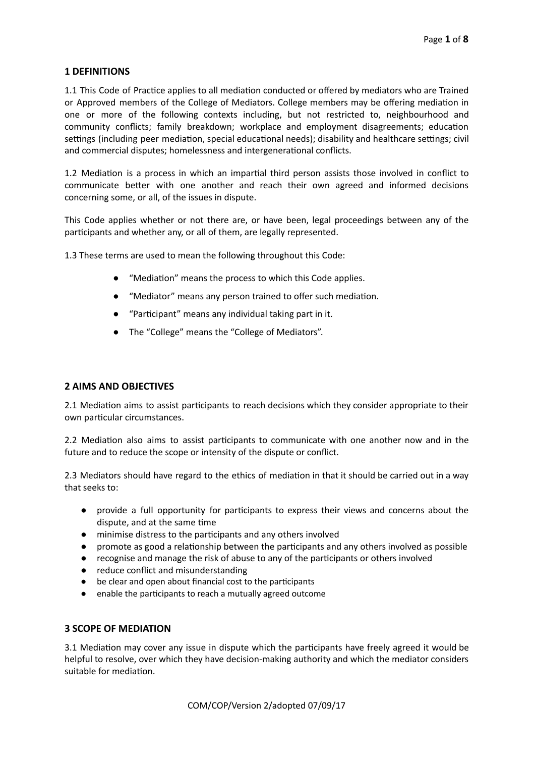# **1 DEFINITIONS**

1.1 This Code of Practice applies to all mediation conducted or offered by mediators who are Trained or Approved members of the College of Mediators. College members may be offering mediation in one or more of the following contexts including, but not restricted to, neighbourhood and community conflicts; family breakdown; workplace and employment disagreements; education settings (including peer mediation, special educational needs); disability and healthcare settings; civil and commercial disputes; homelessness and intergenerational conflicts.

1.2 Mediation is a process in which an impartial third person assists those involved in conflict to communicate better with one another and reach their own agreed and informed decisions concerning some, or all, of the issues in dispute.

This Code applies whether or not there are, or have been, legal proceedings between any of the participants and whether any, or all of them, are legally represented.

1.3 These terms are used to mean the following throughout this Code:

- "Mediation" means the process to which this Code applies.
- "Mediator" means any person trained to offer such mediation.
- "Parcipant" means any individual taking part in it.
- The "College" means the "College of Mediators".

### **2 AIMS AND OBJECTIVES**

2.1 Mediation aims to assist participants to reach decisions which they consider appropriate to their own particular circumstances.

2.2 Mediation also aims to assist participants to communicate with one another now and in the future and to reduce the scope or intensity of the dispute or conflict.

2.3 Mediators should have regard to the ethics of mediation in that it should be carried out in a way that seeks to:

- provide a full opportunity for participants to express their views and concerns about the dispute, and at the same time
- minimise distress to the parcipants and any others involved
- promote as good a relationship between the participants and any others involved as possible
- recognise and manage the risk of abuse to any of the participants or others involved
- reduce conflict and misunderstanding
- be clear and open about financial cost to the participants
- enable the parcipants to reach a mutually agreed outcome

# **3 SCOPE OF MEDIATION**

3.1 Mediation may cover any issue in dispute which the participants have freely agreed it would be helpful to resolve, over which they have decision-making authority and which the mediator considers suitable for mediation.

COM/COP/Version 2/adopted 07/09/17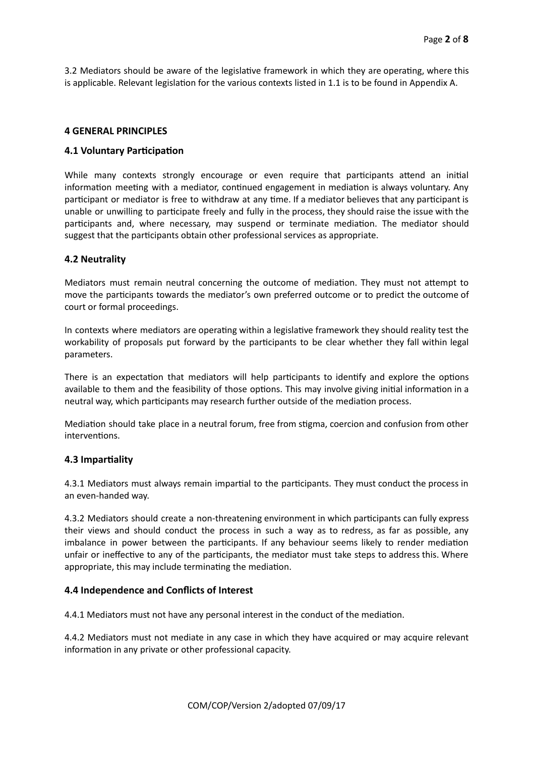3.2 Mediators should be aware of the legislative framework in which they are operating, where this is applicable. Relevant legislation for the various contexts listed in 1.1 is to be found in Appendix A.

## **4 GENERAL PRINCIPLES**

## **4.1 Voluntary Participation**

While many contexts strongly encourage or even require that participants attend an initial information meeting with a mediator, continued engagement in mediation is always voluntary. Any participant or mediator is free to withdraw at any time. If a mediator believes that any participant is unable or unwilling to participate freely and fully in the process, they should raise the issue with the participants and, where necessary, may suspend or terminate mediation. The mediator should suggest that the participants obtain other professional services as appropriate.

## **4.2 Neutrality**

Mediators must remain neutral concerning the outcome of mediation. They must not attempt to move the participants towards the mediator's own preferred outcome or to predict the outcome of court or formal proceedings.

In contexts where mediators are operating within a legislative framework they should reality test the workability of proposals put forward by the participants to be clear whether they fall within legal parameters.

There is an expectation that mediators will help participants to identify and explore the options available to them and the feasibility of those options. This may involve giving initial information in a neutral way, which participants may research further outside of the mediation process.

Mediation should take place in a neutral forum, free from stigma, coercion and confusion from other interventions.

### **4.3 Impartiality**

4.3.1 Mediators must always remain impartial to the participants. They must conduct the process in an even-handed way.

4.3.2 Mediators should create a non-threatening environment in which parcipants can fully express their views and should conduct the process in such a way as to redress, as far as possible, any imbalance in power between the participants. If any behaviour seems likely to render mediation unfair or ineffective to any of the participants, the mediator must take steps to address this. Where appropriate, this may include terminating the mediation.

### **4.4 Independence and Conflicts of Interest**

4.4.1 Mediators must not have any personal interest in the conduct of the mediation.

4.4.2 Mediators must not mediate in any case in which they have acquired or may acquire relevant information in any private or other professional capacity.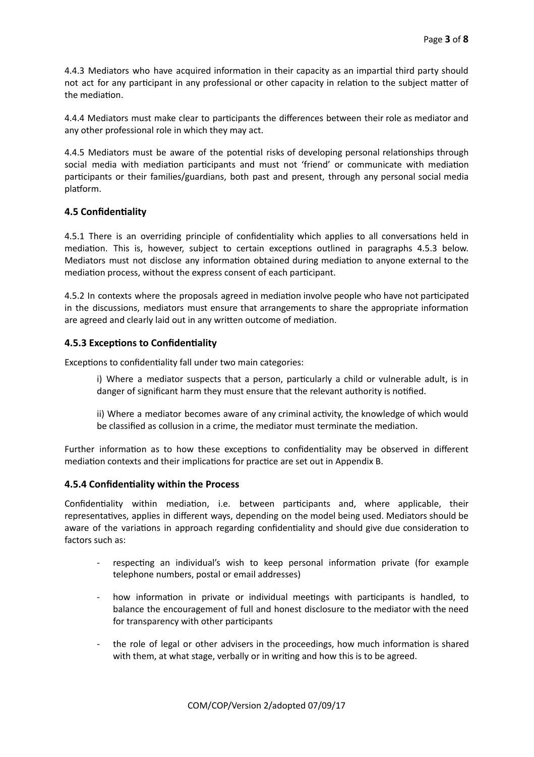4.4.3 Mediators who have acquired information in their capacity as an impartial third party should not act for any participant in any professional or other capacity in relation to the subject matter of the mediation.

4.4.4 Mediators must make clear to participants the differences between their role as mediator and any other professional role in which they may act.

4.4.5 Mediators must be aware of the potential risks of developing personal relationships through social media with mediation participants and must not 'friend' or communicate with mediation participants or their families/guardians, both past and present, through any personal social media platform.

# **4.5 Confidentiality**

4.5.1 There is an overriding principle of confidentiality which applies to all conversations held in mediation. This is, however, subject to certain exceptions outlined in paragraphs 4.5.3 below. Mediators must not disclose any information obtained during mediation to anyone external to the mediation process, without the express consent of each participant.

4.5.2 In contexts where the proposals agreed in mediation involve people who have not participated in the discussions, mediators must ensure that arrangements to share the appropriate information are agreed and clearly laid out in any written outcome of mediation.

# **4.5.3 Exceptions to Confidentiality**

Exceptions to confidentiality fall under two main categories:

i) Where a mediator suspects that a person, particularly a child or vulnerable adult, is in danger of significant harm they must ensure that the relevant authority is notified.

ii) Where a mediator becomes aware of any criminal activity, the knowledge of which would be classified as collusion in a crime, the mediator must terminate the mediation.

Further information as to how these exceptions to confidentiality may be observed in different mediation contexts and their implications for practice are set out in Appendix B.

# **4.5.4 Confidentiality within the Process**

Confidentiality within mediation, i.e. between participants and, where applicable, their representatives, applies in different ways, depending on the model being used. Mediators should be aware of the variations in approach regarding confidentiality and should give due consideration to factors such as:

- respecting an individual's wish to keep personal information private (for example telephone numbers, postal or email addresses)
- how information in private or individual meetings with participants is handled, to balance the encouragement of full and honest disclosure to the mediator with the need for transparency with other participants
- the role of legal or other advisers in the proceedings, how much information is shared with them, at what stage, verbally or in writing and how this is to be agreed.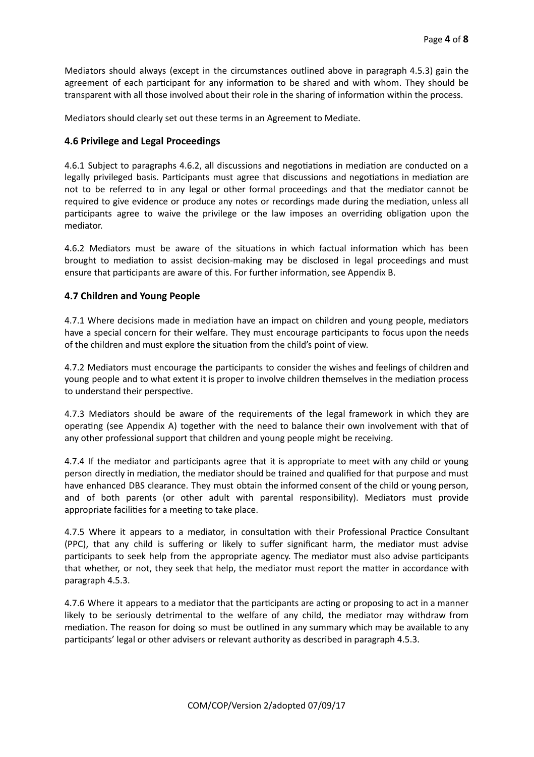Mediators should always (except in the circumstances outlined above in paragraph 4.5.3) gain the agreement of each participant for any information to be shared and with whom. They should be transparent with all those involved about their role in the sharing of information within the process.

Mediators should clearly set out these terms in an Agreement to Mediate.

# **4.6 Privilege and Legal Proceedings**

4.6.1 Subject to paragraphs 4.6.2, all discussions and negotiations in mediation are conducted on a legally privileged basis. Participants must agree that discussions and negotiations in mediation are not to be referred to in any legal or other formal proceedings and that the mediator cannot be required to give evidence or produce any notes or recordings made during the mediation, unless all participants agree to waive the privilege or the law imposes an overriding obligation upon the mediator.

4.6.2 Mediators must be aware of the situations in which factual information which has been brought to mediation to assist decision-making may be disclosed in legal proceedings and must ensure that participants are aware of this. For further information, see Appendix B.

# **4.7 Children and Young People**

4.7.1 Where decisions made in mediation have an impact on children and young people, mediators have a special concern for their welfare. They must encourage participants to focus upon the needs of the children and must explore the situation from the child's point of view.

4.7.2 Mediators must encourage the participants to consider the wishes and feelings of children and young people and to what extent it is proper to involve children themselves in the mediation process to understand their perspective.

4.7.3 Mediators should be aware of the requirements of the legal framework in which they are operating (see Appendix A) together with the need to balance their own involvement with that of any other professional support that children and young people might be receiving.

4.7.4 If the mediator and participants agree that it is appropriate to meet with any child or young person directly in mediation, the mediator should be trained and qualified for that purpose and must have enhanced DBS clearance. They must obtain the informed consent of the child or young person, and of both parents (or other adult with parental responsibility). Mediators must provide appropriate facilities for a meeting to take place.

4.7.5 Where it appears to a mediator, in consultation with their Professional Practice Consultant (PPC), that any child is suffering or likely to suffer significant harm, the mediator must advise participants to seek help from the appropriate agency. The mediator must also advise participants that whether, or not, they seek that help, the mediator must report the matter in accordance with paragraph 4.5.3.

4.7.6 Where it appears to a mediator that the participants are acting or proposing to act in a manner likely to be seriously detrimental to the welfare of any child, the mediator may withdraw from mediation. The reason for doing so must be outlined in any summary which may be available to any participants' legal or other advisers or relevant authority as described in paragraph 4.5.3.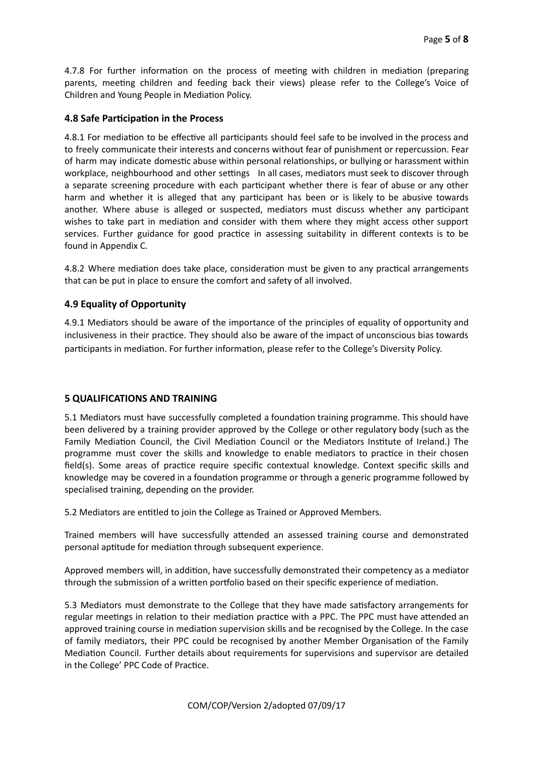4.7.8 For further information on the process of meeting with children in mediation (preparing parents, meeting children and feeding back their views) please refer to the College's Voice of Children and Young People in Mediation Policy.

## **4.8 Safe Participation in the Process**

4.8.1 For mediation to be effective all participants should feel safe to be involved in the process and to freely communicate their interests and concerns without fear of punishment or repercussion. Fear of harm may indicate domestic abuse within personal relationships, or bullying or harassment within workplace, neighbourhood and other settings In all cases, mediators must seek to discover through a separate screening procedure with each participant whether there is fear of abuse or any other harm and whether it is alleged that any participant has been or is likely to be abusive towards another. Where abuse is alleged or suspected, mediators must discuss whether any participant wishes to take part in mediation and consider with them where they might access other support services. Further guidance for good practice in assessing suitability in different contexts is to be found in Appendix C.

4.8.2 Where mediation does take place, consideration must be given to any practical arrangements that can be put in place to ensure the comfort and safety of all involved.

# **4.9 Equality of Opportunity**

4.9.1 Mediators should be aware of the importance of the principles of equality of opportunity and inclusiveness in their practice. They should also be aware of the impact of unconscious bias towards participants in mediation. For further information, please refer to the College's Diversity Policy.

# **5 QUALIFICATIONS AND TRAINING**

5.1 Mediators must have successfully completed a foundation training programme. This should have been delivered by a training provider approved by the College or other regulatory body (such as the Family Mediation Council, the Civil Mediation Council or the Mediators Institute of Ireland.) The programme must cover the skills and knowledge to enable mediators to practice in their chosen field(s). Some areas of practice require specific contextual knowledge. Context specific skills and knowledge may be covered in a foundation programme or through a generic programme followed by specialised training, depending on the provider.

5.2 Mediators are entitled to join the College as Trained or Approved Members.

Trained members will have successfully attended an assessed training course and demonstrated personal aptitude for mediation through subsequent experience.

Approved members will, in addition, have successfully demonstrated their competency as a mediator through the submission of a written portfolio based on their specific experience of mediation.

5.3 Mediators must demonstrate to the College that they have made satisfactory arrangements for regular meetings in relation to their mediation practice with a PPC. The PPC must have attended an approved training course in mediation supervision skills and be recognised by the College. In the case of family mediators, their PPC could be recognised by another Member Organisation of the Family Mediation Council. Further details about requirements for supervisions and supervisor are detailed in the College' PPC Code of Practice.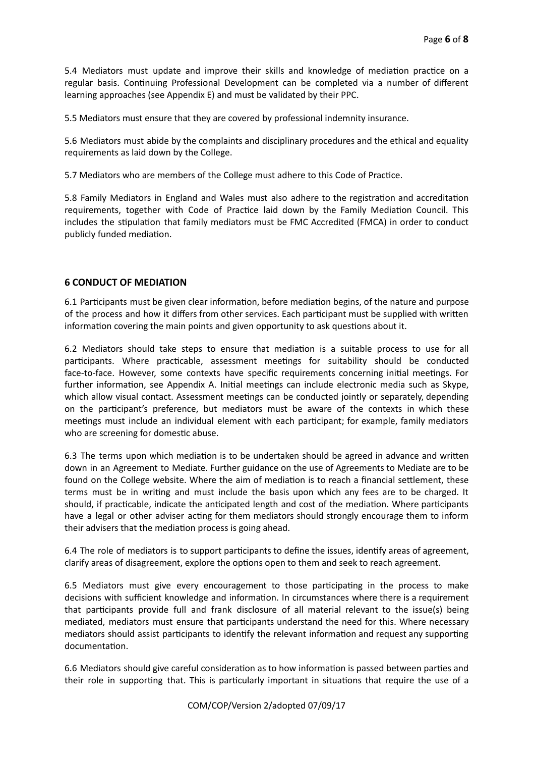5.4 Mediators must update and improve their skills and knowledge of mediation practice on a regular basis. Continuing Professional Development can be completed via a number of different learning approaches (see Appendix E) and must be validated by their PPC.

5.5 Mediators must ensure that they are covered by professional indemnity insurance.

5.6 Mediators must abide by the complaints and disciplinary procedures and the ethical and equality requirements as laid down by the College.

5.7 Mediators who are members of the College must adhere to this Code of Practice.

5.8 Family Mediators in England and Wales must also adhere to the registration and accreditation requirements, together with Code of Practice laid down by the Family Mediation Council. This includes the stipulation that family mediators must be FMC Accredited (FMCA) in order to conduct publicly funded mediation.

# **6 CONDUCT OF MEDIATION**

6.1 Participants must be given clear information, before mediation begins, of the nature and purpose of the process and how it differs from other services. Each participant must be supplied with written information covering the main points and given opportunity to ask questions about it.

6.2 Mediators should take steps to ensure that mediation is a suitable process to use for all participants. Where practicable, assessment meetings for suitability should be conducted face-to-face. However, some contexts have specific requirements concerning initial meetings. For further information, see Appendix A. Initial meetings can include electronic media such as Skype, which allow visual contact. Assessment meetings can be conducted jointly or separately, depending on the participant's preference, but mediators must be aware of the contexts in which these meetings must include an individual element with each participant; for example, family mediators who are screening for domestic abuse.

6.3 The terms upon which mediation is to be undertaken should be agreed in advance and written down in an Agreement to Mediate. Further guidance on the use of Agreements to Mediate are to be found on the College website. Where the aim of mediation is to reach a financial settlement, these terms must be in writing and must include the basis upon which any fees are to be charged. It should, if practicable, indicate the anticipated length and cost of the mediation. Where participants have a legal or other adviser acting for them mediators should strongly encourage them to inform their advisers that the mediation process is going ahead.

6.4 The role of mediators is to support participants to define the issues, identify areas of agreement, clarify areas of disagreement, explore the options open to them and seek to reach agreement.

6.5 Mediators must give every encouragement to those participating in the process to make decisions with sufficient knowledge and information. In circumstances where there is a requirement that participants provide full and frank disclosure of all material relevant to the issue(s) being mediated, mediators must ensure that participants understand the need for this. Where necessary mediators should assist participants to identify the relevant information and request any supporting documentation.

6.6 Mediators should give careful consideration as to how information is passed between parties and their role in supporting that. This is particularly important in situations that require the use of a